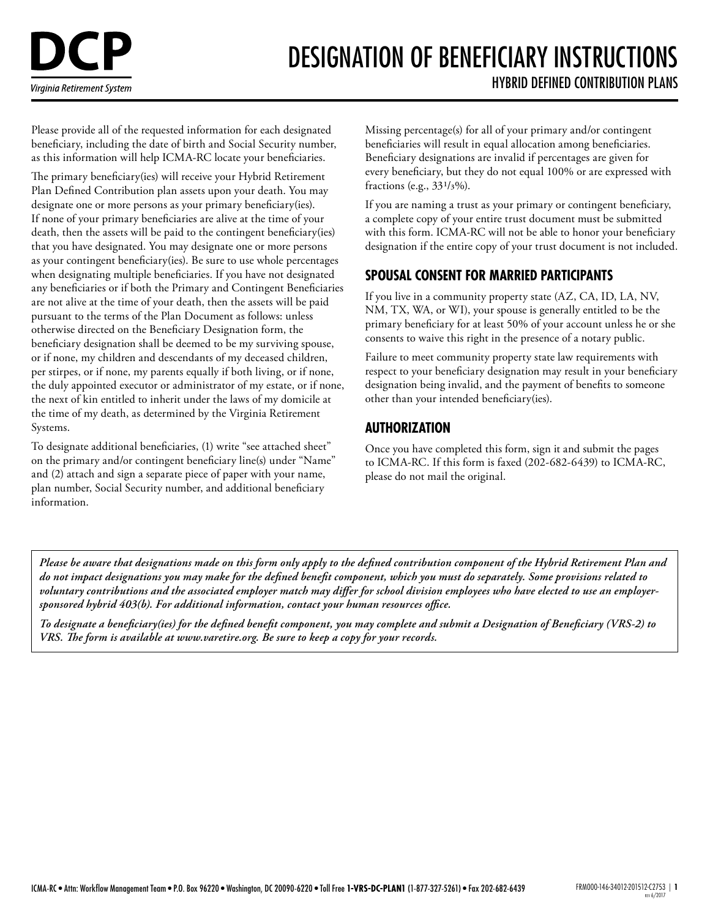# DESIGNATION OF BENEFICIARY INSTRUCTIONS HYBRID DEFINED CONTRIBUTION PLANS

Please provide all of the requested information for each designated beneficiary, including the date of birth and Social Security number, as this information will help ICMA-RC locate your beneficiaries.

The primary beneficiary(ies) will receive your Hybrid Retirement Plan Defined Contribution plan assets upon your death. You may designate one or more persons as your primary beneficiary(ies). If none of your primary beneficiaries are alive at the time of your death, then the assets will be paid to the contingent beneficiary(ies) that you have designated. You may designate one or more persons as your contingent beneficiary(ies). Be sure to use whole percentages when designating multiple beneficiaries. If you have not designated any beneficiaries or if both the Primary and Contingent Beneficiaries are not alive at the time of your death, then the assets will be paid pursuant to the terms of the Plan Document as follows: unless otherwise directed on the Beneficiary Designation form, the beneficiary designation shall be deemed to be my surviving spouse, or if none, my children and descendants of my deceased children, per stirpes, or if none, my parents equally if both living, or if none, the duly appointed executor or administrator of my estate, or if none, the next of kin entitled to inherit under the laws of my domicile at the time of my death, as determined by the Virginia Retirement Systems.

To designate additional beneficiaries, (1) write "see attached sheet" on the primary and/or contingent beneficiary line(s) under "Name" and (2) attach and sign a separate piece of paper with your name, plan number, Social Security number, and additional beneficiary information.

Missing percentage(s) for all of your primary and/or contingent beneficiaries will result in equal allocation among beneficiaries. Beneficiary designations are invalid if percentages are given for every beneficiary, but they do not equal 100% or are expressed with fractions (e.g., 331/3%).

If you are naming a trust as your primary or contingent beneficiary, a complete copy of your entire trust document must be submitted with this form. ICMA-RC will not be able to honor your beneficiary designation if the entire copy of your trust document is not included.

## **SPOUSAL CONSENT FOR MARRIED PARTICIPANTS**

If you live in a community property state (AZ, CA, ID, LA, NV, NM, TX, WA, or WI), your spouse is generally entitled to be the primary beneficiary for at least 50% of your account unless he or she consents to waive this right in the presence of a notary public.

Failure to meet community property state law requirements with respect to your beneficiary designation may result in your beneficiary designation being invalid, and the payment of benefits to someone other than your intended beneficiary(ies).

## **AUTHORIZATION**

Once you have completed this form, sign it and submit the pages to ICMA-RC. If this form is faxed (202-682-6439) to ICMA-RC, please do not mail the original.

*Please be aware that designations made on this form only apply to the defined contribution component of the Hybrid Retirement Plan and do not impact designations you may make for the defined benefit component, which you must do separately. Some provisions related to voluntary contributions and the associated employer match may differ for school division employees who have elected to use an employersponsored hybrid 403(b). For additional information, contact your human resources office.*

*To designate a beneficiary(ies) for the defined benefit component, you may complete and submit a Designation of Beneficiary (VRS-2) to VRS. The form is available at [www.varetire.org.](http://www.varetire.org) Be sure to keep a copy for your records.*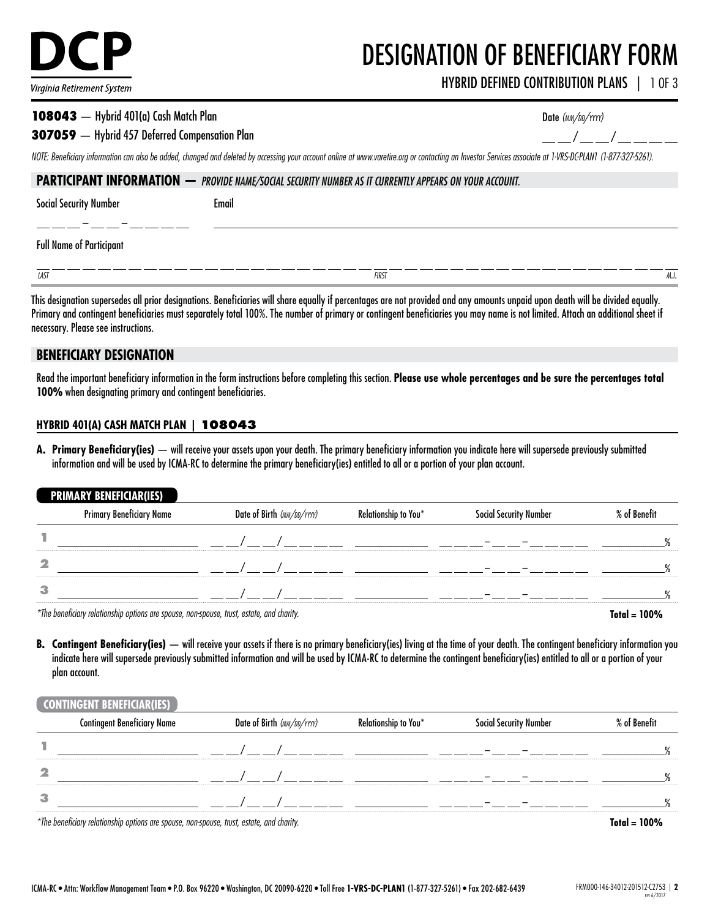

# DESIGNATION OF BENEFICIARY FORM

HYBRID DEFINED CONTRIBUTION PLANS | 1 OF 3

#### 108043 — Hybrid 401(a) Cash Match Plan

#### 307059 — Hybrid 457 Deferred Compensation Plan

| Date (MM/DD/YYYY) |  |  |
|-------------------|--|--|
|                   |  |  |

*NOTE: Beneficiary information can also be added, changed and deleted by accessing your account online at [www.varetire.org](http://www.varetire.org) or contacting an Investor Services associate at 1-VRS-DC-PLAN1 (1-877-327-5261).*

| <b>PARTICIPANT INFORMATION — PROVIDE NAME/SOCIAL SECURITY NUMBER AS IT CURRENTLY APPEARS ON YOUR ACCOUNT.</b> |       |              |      |
|---------------------------------------------------------------------------------------------------------------|-------|--------------|------|
| Social Security Number                                                                                        | Email |              |      |
| <b>Full Name of Participant</b>                                                                               |       |              |      |
| <b>LAST</b>                                                                                                   |       | <b>FIRST</b> | M.I. |

This designation supersedes all prior designations. Beneficiaries will share equally if percentages are not provided and any amounts unpaid upon death will be divided equally. Primary and contingent beneficiaries must separately total 100%. The number of primary or contingent beneficiaries you may name is not limited. Attach an additional sheet if necessary. Please see instructions.

#### **BENEFICIARY DESIGNATION**

Read the important beneficiary information in the form instructions before completing this section. **Please use whole percentages and be sure the percentages total 100%** when designating primary and contingent beneficiaries.

#### **HYBRID 401(A) CASH MATCH PLAN | 108043**

**A. Primary Beneficiary(ies)** — will receive your assets upon your death. The primary beneficiary information you indicate here will supersede previously submitted information and will be used by ICMA-RC to determine the primary beneficiary(ies) entitled to all or a portion of your plan account.

#### **PRIMARY BENEFICIAR(IES)**

|   | <b>Primary Beneficiary Name</b> | Date of Birth (MM/DD/YYYY) | Relationship to You* | Social Security Number | % of Benefit |
|---|---------------------------------|----------------------------|----------------------|------------------------|--------------|
|   |                                 |                            |                      |                        |              |
| 2 |                                 |                            |                      |                        |              |
| з |                                 |                            |                      |                        |              |
|   |                                 |                            |                      |                        | $-1$ $-1$    |

*\*The beneficiary relationship options are spouse, non-spouse, trust, estate, and charity.* **Total = 100%**

**B. Contingent Beneficiary(ies)** — will receive your assets if there is no primary beneficiary(ies) living at the time of your death. The contingent beneficiary information you indicate here will supersede previously submitted information and will be used by ICMA-RC to determine the contingent beneficiary(ies) entitled to all or a portion of your plan account.

#### **CONTINGENT BENEFICIAR(IES)**

|    | <b>Contingent Beneficiary Name</b>                                                         | Date of Birth (MM/DD/YYYY) | Relationship to You* | <b>Social Security Number</b> | % of Benefit              |
|----|--------------------------------------------------------------------------------------------|----------------------------|----------------------|-------------------------------|---------------------------|
|    |                                                                                            |                            |                      |                               |                           |
| -2 |                                                                                            |                            |                      |                               |                           |
| -3 |                                                                                            |                            |                      |                               |                           |
|    | $*$ The benefician relationship entiens are speuse, non-speuse, trust, estate, and sharity |                            |                      |                               | $T_{\text{shell}}$ $1000$ |

*\*The beneficiary relationship options are spouse, non-spouse, trust, estate, and charity.* **Total = 100%**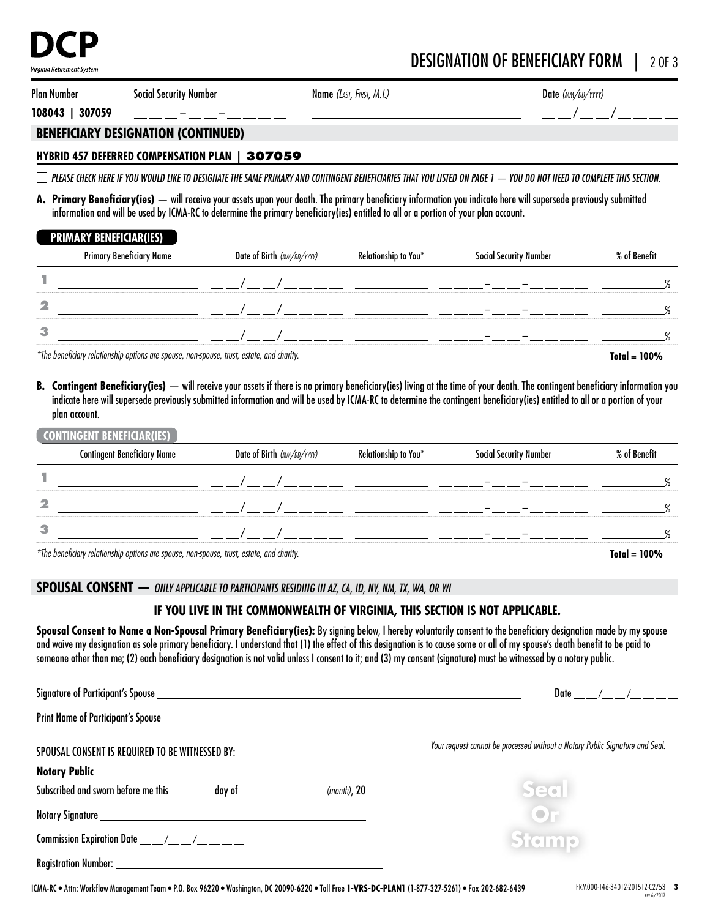

# DESIGNATION OF BENEFICIARY FORM | 2 OF 3

Plan Number

– –

Social Security Number Name *(LAST, FIRST, M.I.)* 

Date *(mm/dd/yyyy)*

 $\frac{\rho}{\rho}-\frac{\rho}{\rho}-\frac{\rho}{\rho}-\frac{\rho}{\rho}-\frac{\rho}{\rho}-\frac{\rho}{\rho}-\frac{\rho}{\rho}-\frac{\rho}{\rho}-\frac{\rho}{\rho}-\frac{\rho}{\rho}-\frac{\rho}{\rho}-\frac{\rho}{\rho}-\frac{\rho}{\rho}-\frac{\rho}{\rho}-\frac{\rho}{\rho}-\frac{\rho}{\rho}-\frac{\rho}{\rho}-\frac{\rho}{\rho}-\frac{\rho}{\rho}-\frac{\rho}{\rho}-\frac{\rho}{\rho}-\frac{\rho}{\rho}-\frac{\rho}{\rho}-\frac{\rho}{\rho}-\frac{\rho}{\rho}-\frac{\rho}{\rho}-\frac{\rho}{\rho}-\frac{\rho$ 

**108043 | 307059**

#### **BENEFICIARY DESIGNATION (CONTINUED)**

#### **HYBRID 457 DEFERRED COMPENSATION PLAN | 307059**

 *PLEASE CHECK HERE IF YOU WOULD LIKE TO DESIGNATE THE SAME PRIMARY AND CONTINGENT BENEFICIARIES THAT YOU LISTED ON PAGE 1 — YOU DO NOT NEED TO COMPLETE THIS SECTION.*

**A. Primary Beneficiary(ies)** — will receive your assets upon your death. The primary beneficiary information you indicate here will supersede previously submitted information and will be used by ICMA-RC to determine the primary beneficiary(ies) entitled to all or a portion of your plan account.

#### **PRIMARY BENEFICIAR(IES)**

|   | Primary Beneficiary Name | Date of Birth (MM/DD/YYYY) | Relationship to You* | <b>Social Security Number</b> | % of Benefit |
|---|--------------------------|----------------------------|----------------------|-------------------------------|--------------|
|   |                          |                            |                      |                               |              |
| 2 |                          |                            |                      |                               |              |
| з |                          |                            |                      |                               |              |

*\*The beneficiary relationship options are spouse, non-spouse, trust, estate, and charity.* **Total = 100%**

**B. Contingent Beneficiary(ies)** — will receive your assets if there is no primary beneficiary(ies) living at the time of your death. The contingent beneficiary information you indicate here will supersede previously submitted information and will be used by ICMA-RC to determine the contingent beneficiary(ies) entitled to all or a portion of your plan account.

#### **CONTINGENT BENEFICIAR(IES)**

|                                                                                           | <b>Contingent Beneficiary Name</b> | Date of Birth (MM/DD/YYYY) | Relationship to You* | Social Security Number | % of Benefit   |
|-------------------------------------------------------------------------------------------|------------------------------------|----------------------------|----------------------|------------------------|----------------|
|                                                                                           |                                    |                            |                      |                        |                |
| $\mathbf{z}$                                                                              |                                    |                            |                      |                        |                |
| 3                                                                                         |                                    |                            |                      |                        |                |
| *The beneficiary relationship options are spouse, non-spouse, trust, estate, and charity. |                                    |                            |                      |                        | $Total = 100%$ |

#### **SPOUSAL CONSENT —** *ONLY APPLICABLE TO PARTICIPANTS RESIDING IN AZ, CA, ID, NV, NM, TX, WA, OR WI*

### **IF YOU LIVE IN THE COMMONWEALTH OF VIRGINIA, THIS SECTION IS NOT APPLICABLE.**

Spousal Consent to Name a Non-Spousal Primary Beneficiary(ies): By signing below, I hereby voluntarily consent to the beneficiary designation made by my spouse and waive my designation as sole primary beneficiary. I understand that (1) the effect of this designation is to cause some or all of my spouse's death benefit to be paid to someone other than me; (2) each beneficiary designation is not valid unless I consent to it; and (3) my consent (signature) must be witnessed by a notary public.

|                                                                                                                                                                                                                                | Date / /                                                                             |
|--------------------------------------------------------------------------------------------------------------------------------------------------------------------------------------------------------------------------------|--------------------------------------------------------------------------------------|
|                                                                                                                                                                                                                                |                                                                                      |
| SPOUSAL CONSENT IS REQUIRED TO BE WITNESSED BY:<br><b>Notary Public</b><br>Subscribed and sworn before me this __________ day of __________________________<br>(month), $20 \_\_$                                              | Your request cannot be processed without a Notary Public Signature and Seal.<br>Seal |
|                                                                                                                                                                                                                                | OF                                                                                   |
| Commission Expiration Date $\_\_\_\_\_\_\_\_\_\_\_\_\_\_\_$                                                                                                                                                                    | <b>Stamp</b>                                                                         |
| Registration Number: University of the Contract of the Contract of the Contract of the Contract of the Contract of the Contract of the Contract of the Contract of the Contract of the Contract of the Contract of the Contrac |                                                                                      |